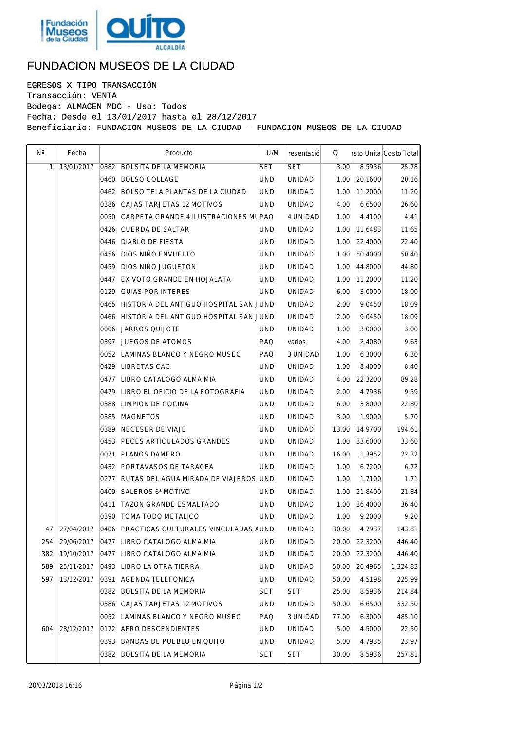

## FUNDACION MUSEOS DE LA CIUDAD

EGRESOS X TIPO TRANSACCIÓN Transacción: VENTA Bodega: ALMACEN MDC - Uso: Todos Fecha: Desde el 13/01/2017 hasta el 28/12/2017 Beneficiario: FUNDACION MUSEOS DE LA CIUDAD - FUNDACION MUSEOS DE LA CIUDAD

| $N^{\circ}$ | Fecha      | Producto                                    | U/M        | resentació    | $\Omega$ |         | bsto Unita Costo Total |
|-------------|------------|---------------------------------------------|------------|---------------|----------|---------|------------------------|
| 1           | 13/01/2017 | 0382 BOLSITA DE LA MEMORIA                  | <b>SET</b> | <b>SET</b>    | 3.00     | 8.5936  | 25.78                  |
|             |            | 0460 BOLSO COLLAGE                          | <b>UND</b> | UNIDAD        | 1.00     | 20.1600 | 20.16                  |
|             |            | 0462 BOLSO TELA PLANTAS DE LA CIUDAD        | UND.       | <b>UNIDAD</b> | 1.00     | 11.2000 | 11.20                  |
|             |            | 0386 CAJAS TARJETAS 12 MOTIVOS              | UND.       | UNIDAD        | 4.00     | 6.6500  | 26.60                  |
|             |            | 0050 CARPETA GRANDE 4 ILUSTRACIONES MUPAQ   |            | 4 UNIDAD      | 1.00     | 4.4100  | 4.41                   |
|             |            | 0426 CUERDA DE SALTAR                       | UND.       | UNIDAD        | 1.00     | 11.6483 | 11.65                  |
|             |            | 0446 DIABLO DE FIESTA                       | <b>UND</b> | <b>UNIDAD</b> | 1.00     | 22.4000 | 22.40                  |
|             |            | 0456 DIOS NIÑO ENVUELTO                     | UND.       | UNIDAD        | 1.00     | 50.4000 | 50.40                  |
|             |            | 0459 DIOS NIÑO JUGUETON                     | <b>UND</b> | <b>UNIDAD</b> | 1.00     | 44.8000 | 44.80                  |
|             |            | 0447 EX VOTO GRANDE EN HOJALATA             | <b>UND</b> | UNIDAD        | 1.00     | 11.2000 | 11.20                  |
|             |            | 0129 GUIAS POR INTERES                      | UND.       | <b>UNIDAD</b> | 6.00     | 3.0000  | 18.00                  |
|             |            | 0465 HISTORIA DEL ANTIGUO HOSPITAL SAN JUND |            | UNIDAD        | 2.00     | 9.0450  | 18.09                  |
|             |            | 0466 HISTORIA DEL ANTIGUO HOSPITAL SAN JUND |            | <b>UNIDAD</b> | 2.00     | 9.0450  | 18.09                  |
|             |            | 0006 JARROS QUIJOTE                         | UND.       | <b>UNIDAD</b> | 1.00     | 3.0000  | 3.00                   |
|             |            | 0397 JUEGOS DE ATOMOS                       | PAQ        | varios        | 4.00     | 2.4080  | 9.63                   |
|             |            | 0052 LAMINAS BLANCO Y NEGRO MUSEO           | PAQ        | 3 UNIDAD      | 1.00     | 6.3000  | 6.30                   |
|             |            | 0429 LIBRETAS CAC                           | UND.       | <b>UNIDAD</b> | 1.00     | 8.4000  | 8.40                   |
|             |            | 0477 LIBRO CATALOGO ALMA MIA                | <b>UND</b> | UNIDAD        | 4.00     | 22.3200 | 89.28                  |
|             |            | 0479 LIBRO EL OFICIO DE LA FOTOGRAFIA       | UND        | <b>UNIDAD</b> | 2.00     | 4.7936  | 9.59                   |
|             |            | 0388 LIMPION DE COCINA                      | UND.       | UNIDAD        | 6.00     | 3.8000  | 22.80                  |
|             |            | 0385 MAGNETOS                               | UND        | <b>UNIDAD</b> | 3.00     | 1.9000  | 5.70                   |
|             |            | 0389 NECESER DE VIAJE                       | <b>UND</b> | UNIDAD        | 13.00    | 14.9700 | 194.61                 |
|             |            | 0453 PECES ARTICULADOS GRANDES              | UND        | <b>UNIDAD</b> | 1.00     | 33.6000 | 33.60                  |
|             |            | 0071 PLANOS DAMERO                          | UND.       | <b>UNIDAD</b> | 16.00    | 1.3952  | 22.32                  |
|             |            | 0432 PORTAVASOS DE TARACEA                  | UND.       | <b>UNIDAD</b> | 1.00     | 6.7200  | 6.72                   |
|             |            | 0277 RUTAS DEL AGUA MIRADA DE VIAJEROS UND  |            | UNIDAD        | 1.00     | 1.7100  | 1.71                   |
|             |            | 0409 SALEROS 6* MOTIVO                      | UND.       | <b>UNIDAD</b> | 1.00     | 21.8400 | 21.84                  |
|             |            | 0411 TAZON GRANDE ESMALTADO                 | <b>UND</b> | UNIDAD        | 1.00     | 36.4000 | 36.40                  |
|             |            | 0390 TOMA TODO METALICO                     | <b>UND</b> | UNIDAD        | 1.00     | 9.2000  | 9.20                   |
| 47          | 27/04/2017 | 0406 PRACTICAS CULTURALES VINCULADAS AUND   |            | UNIDAD        | 30.00    | 4.7937  | 143.81                 |
| 254         | 29/06/2017 | 0477 LIBRO CATALOGO ALMA MIA                | UND.       | <b>UNIDAD</b> | 20.00    | 22.3200 | 446.40                 |
| 382         | 19/10/2017 | 0477 LIBRO CATALOGO ALMA MIA                | UND.       | <b>UNIDAD</b> | 20.00    | 22.3200 | 446.40                 |
| 589         | 25/11/2017 | 0493 LIBRO LA OTRA TIERRA                   | UND.       | UNIDAD        | 50.00    | 26.4965 | 1,324.83               |
| 597         | 13/12/2017 | 0391 AGENDA TELEFONICA                      | UND.       | <b>UNIDAD</b> | 50.00    | 4.5198  | 225.99                 |
|             |            | 0382 BOLSITA DE LA MEMORIA                  | <b>SET</b> | <b>SET</b>    | 25.00    | 8.5936  | 214.84                 |
|             |            | 0386 CAJAS TARJETAS 12 MOTIVOS              | UND        | <b>UNIDAD</b> | 50.00    | 6.6500  | 332.50                 |
|             |            | 0052 LAMINAS BLANCO Y NEGRO MUSEO           | PAQ        | 3 UNIDAD      | 77.00    | 6.3000  | 485.10                 |
| 604         | 28/12/2017 | 0172 AFRO DESCENDIENTES                     | UND.       | <b>UNIDAD</b> | 5.00     | 4.5000  | 22.50                  |
|             |            | 0393 BANDAS DE PUEBLO EN QUITO              | UND.       | UNIDAD        | 5.00     | 4.7935  | 23.97                  |
|             |            | 0382 BOLSITA DE LA MEMORIA                  | <b>SET</b> | SET           | 30.00    | 8.5936  | 257.81                 |